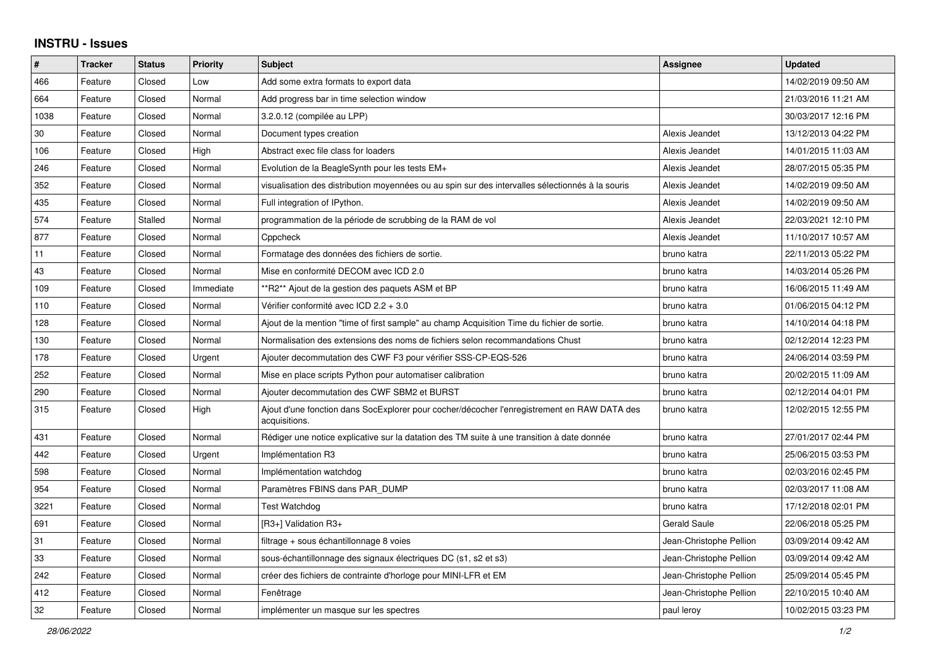## **INSTRU - Issues**

| #    | <b>Tracker</b> | <b>Status</b> | <b>Priority</b> | <b>Subject</b>                                                                                               | Assignee                | <b>Updated</b>      |
|------|----------------|---------------|-----------------|--------------------------------------------------------------------------------------------------------------|-------------------------|---------------------|
| 466  | Feature        | Closed        | Low             | Add some extra formats to export data                                                                        |                         | 14/02/2019 09:50 AM |
| 664  | Feature        | Closed        | Normal          | Add progress bar in time selection window                                                                    |                         | 21/03/2016 11:21 AM |
| 1038 | Feature        | Closed        | Normal          | 3.2.0.12 (compilée au LPP)                                                                                   |                         | 30/03/2017 12:16 PM |
| 30   | Feature        | Closed        | Normal          | Document types creation                                                                                      | Alexis Jeandet          | 13/12/2013 04:22 PM |
| 106  | Feature        | Closed        | High            | Abstract exec file class for loaders                                                                         | Alexis Jeandet          | 14/01/2015 11:03 AM |
| 246  | Feature        | Closed        | Normal          | Evolution de la BeagleSynth pour les tests EM+                                                               | Alexis Jeandet          | 28/07/2015 05:35 PM |
| 352  | Feature        | Closed        | Normal          | visualisation des distribution moyennées ou au spin sur des intervalles sélectionnés à la souris             | Alexis Jeandet          | 14/02/2019 09:50 AM |
| 435  | Feature        | Closed        | Normal          | Full integration of IPython.                                                                                 | Alexis Jeandet          | 14/02/2019 09:50 AM |
| 574  | Feature        | Stalled       | Normal          | programmation de la période de scrubbing de la RAM de vol                                                    | Alexis Jeandet          | 22/03/2021 12:10 PM |
| 877  | Feature        | Closed        | Normal          | Cppcheck                                                                                                     | Alexis Jeandet          | 11/10/2017 10:57 AM |
| 11   | Feature        | Closed        | Normal          | Formatage des données des fichiers de sortie.                                                                | bruno katra             | 22/11/2013 05:22 PM |
| 43   | Feature        | Closed        | Normal          | Mise en conformité DECOM avec ICD 2.0                                                                        | bruno katra             | 14/03/2014 05:26 PM |
| 109  | Feature        | Closed        | Immediate       | *R2** Ajout de la gestion des paquets ASM et BP                                                              | bruno katra             | 16/06/2015 11:49 AM |
| 110  | Feature        | Closed        | Normal          | Vérifier conformité avec ICD 2.2 + 3.0                                                                       | bruno katra             | 01/06/2015 04:12 PM |
| 128  | Feature        | Closed        | Normal          | Ajout de la mention "time of first sample" au champ Acquisition Time du fichier de sortie.                   | bruno katra             | 14/10/2014 04:18 PM |
| 130  | Feature        | Closed        | Normal          | Normalisation des extensions des noms de fichiers selon recommandations Chust                                | bruno katra             | 02/12/2014 12:23 PM |
| 178  | Feature        | Closed        | Urgent          | Ajouter decommutation des CWF F3 pour vérifier SSS-CP-EQS-526                                                | bruno katra             | 24/06/2014 03:59 PM |
| 252  | Feature        | Closed        | Normal          | Mise en place scripts Python pour automatiser calibration                                                    | bruno katra             | 20/02/2015 11:09 AM |
| 290  | Feature        | Closed        | Normal          | Ajouter decommutation des CWF SBM2 et BURST                                                                  | bruno katra             | 02/12/2014 04:01 PM |
| 315  | Feature        | Closed        | High            | Ajout d'une fonction dans SocExplorer pour cocher/décocher l'enregistrement en RAW DATA des<br>acquisitions. | bruno katra             | 12/02/2015 12:55 PM |
| 431  | Feature        | Closed        | Normal          | Rédiger une notice explicative sur la datation des TM suite à une transition à date donnée                   | bruno katra             | 27/01/2017 02:44 PM |
| 442  | Feature        | Closed        | Urgent          | Implémentation R3                                                                                            | bruno katra             | 25/06/2015 03:53 PM |
| 598  | Feature        | Closed        | Normal          | Implémentation watchdog                                                                                      | bruno katra             | 02/03/2016 02:45 PM |
| 954  | Feature        | Closed        | Normal          | Paramètres FBINS dans PAR DUMP                                                                               | bruno katra             | 02/03/2017 11:08 AM |
| 3221 | Feature        | Closed        | Normal          | Test Watchdog                                                                                                | bruno katra             | 17/12/2018 02:01 PM |
| 691  | Feature        | Closed        | Normal          | [R3+] Validation R3+                                                                                         | <b>Gerald Saule</b>     | 22/06/2018 05:25 PM |
| 31   | Feature        | Closed        | Normal          | filtrage + sous échantillonnage 8 voies                                                                      | Jean-Christophe Pellion | 03/09/2014 09:42 AM |
| 33   | Feature        | Closed        | Normal          | sous-échantillonnage des signaux électriques DC (s1, s2 et s3)                                               | Jean-Christophe Pellion | 03/09/2014 09:42 AM |
| 242  | Feature        | Closed        | Normal          | créer des fichiers de contrainte d'horloge pour MINI-LFR et EM                                               | Jean-Christophe Pellion | 25/09/2014 05:45 PM |
| 412  | Feature        | Closed        | Normal          | Fenêtrage                                                                                                    | Jean-Christophe Pellion | 22/10/2015 10:40 AM |
| 32   | Feature        | Closed        | Normal          | implémenter un masque sur les spectres                                                                       | paul leroy              | 10/02/2015 03:23 PM |